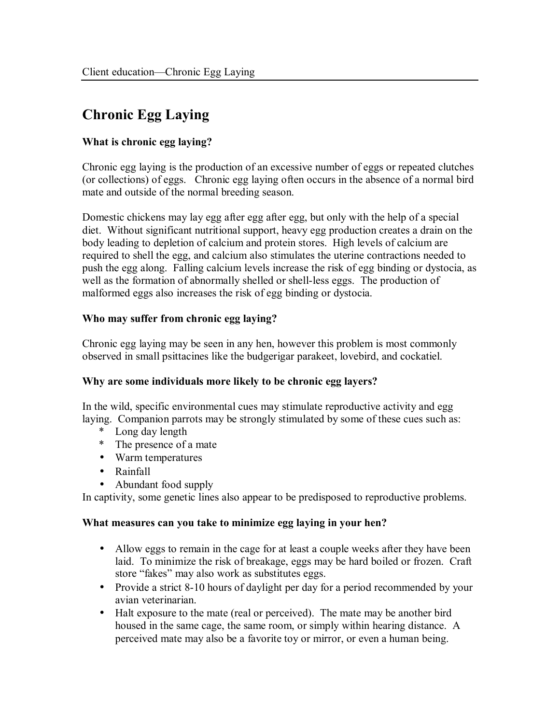# **Chronic Egg Laying**

## **What is chronic egg laying?**

Chronic egg laying is the production of an excessive number of eggs or repeated clutches (or collections) of eggs. Chronic egg laying often occurs in the absence of a normal bird mate and outside of the normal breeding season.

Domestic chickens may lay egg after egg after egg, but only with the help of a special diet. Without significant nutritional support, heavy egg production creates a drain on the body leading to depletion of calcium and protein stores. High levels of calcium are required to shell the egg, and calcium also stimulates the uterine contractions needed to push the egg along. Falling calcium levels increase the risk of egg binding or dystocia, as well as the formation of abnormally shelled or shell-less eggs. The production of malformed eggs also increases the risk of egg binding or dystocia.

### **Who may suffer from chronic egg laying?**

Chronic egg laying may be seen in any hen, however this problem is most commonly observed in small psittacines like the budgerigar parakeet, lovebird, and cockatiel.

#### **Why are some individuals more likely to be chronic egg layers?**

In the wild, specific environmental cues may stimulate reproductive activity and egg laying. Companion parrots may be strongly stimulated by some of these cues such as:

- \* Long day length
- \* The presence of a mate
- Warm temperatures
- Rainfall
- Abundant food supply

In captivity, some genetic lines also appear to be predisposed to reproductive problems.

#### **What measures can you take to minimize egg laying in your hen?**

- Allow eggs to remain in the cage for at least a couple weeks after they have been laid. To minimize the risk of breakage, eggs may be hard boiled or frozen. Craft store "fakes" may also work as substitutes eggs.
- Provide a strict 8-10 hours of daylight per day for a period recommended by your avian veterinarian.
- Halt exposure to the mate (real or perceived). The mate may be another bird housed in the same cage, the same room, or simply within hearing distance. A perceived mate may also be a favorite toy or mirror, or even a human being.